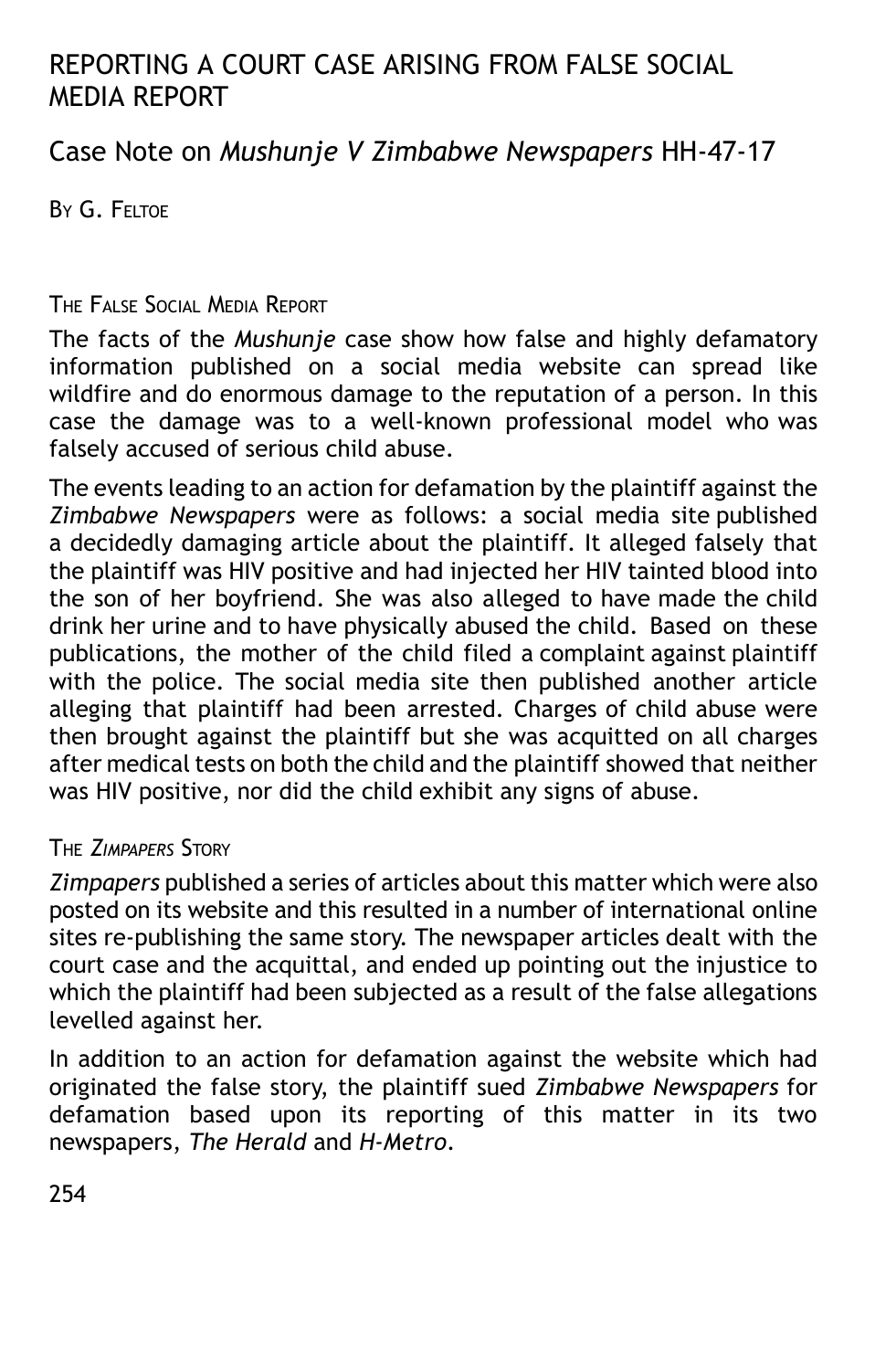# REPORTING A COURT CASE ARISING FROM FALSE SOCIAL MEDIA REPORT

Case Note on *Mushunje V Zimbabwe Newspapers* HH-47-17

BY G. FELTOE

## THE FALSE SOCIAL MEDIA REPORT

The facts of the *Mushunje* case show how false and highly defamatory information published on a social media website can spread like wildfire and do enormous damage to the reputation of a person. In this case the damage was to a well-known professional model who was falsely accused of serious child abuse.

The events leading to an action for defamation by the plaintiff against the *Zimbabwe Newspapers* were as follows: a social media site published a decidedly damaging article about the plaintiff. It alleged falsely that the plaintiff was HIV positive and had injected her HIV tainted blood into the son of her boyfriend. She was also alleged to have made the child drink her urine and to have physically abused the child. Based on these publications, the mother of the child filed a complaint against plaintiff with the police. The social media site then published another article alleging that plaintiff had been arrested. Charges of child abuse were then brought against the plaintiff but she was acquitted on all charges after medical tests on both the child and the plaintiff showed that neither was HIV positive, nor did the child exhibit any signs of abuse.

# THE *ZIMPAPERS* STORY

*Zimpapers* published a series of articles about this matter which were also posted on its website and this resulted in a number of international online sites re-publishing the same story. The newspaper articles dealt with the court case and the acquittal, and ended up pointing out the injustice to which the plaintiff had been subjected as a result of the false allegations levelled against her.

In addition to an action for defamation against the website which had originated the false story, the plaintiff sued *Zimbabwe Newspapers* for defamation based upon its reporting of this matter in its two newspapers, *The Herald* and *H-Metro*.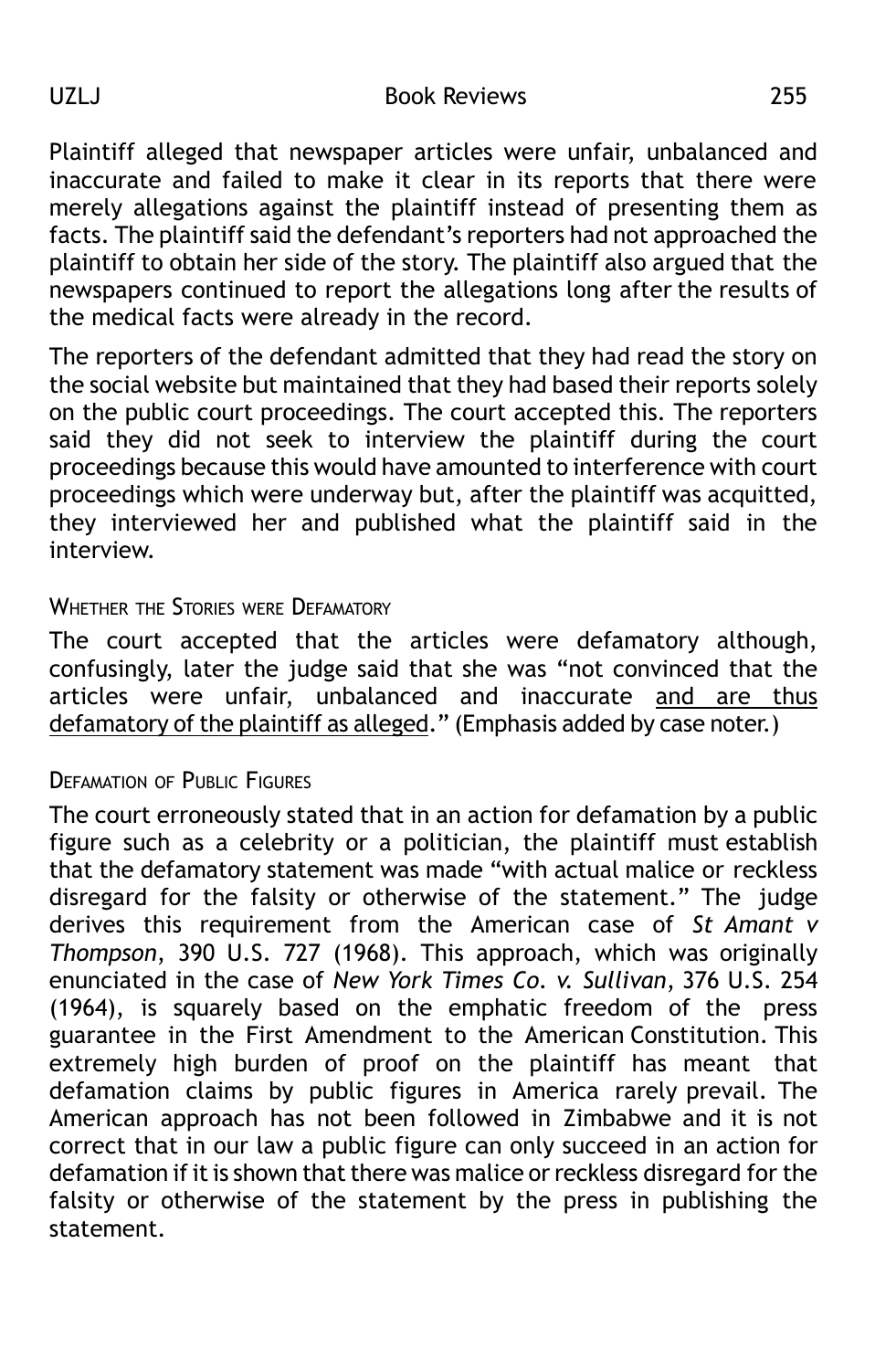Plaintiff alleged that newspaper articles were unfair, unbalanced and inaccurate and failed to make it clear in its reports that there were merely allegations against the plaintiff instead of presenting them as facts. The plaintiff said the defendant's reporters had not approached the plaintiff to obtain her side of the story. The plaintiff also argued that the newspapers continued to report the allegations long after the results of the medical facts were already in the record.

The reporters of the defendant admitted that they had read the story on the social website but maintained that they had based their reports solely on the public court proceedings. The court accepted this. The reporters said they did not seek to interview the plaintiff during the court proceedings because this would have amounted to interference with court proceedings which were underway but, after the plaintiff was acquitted, they interviewed her and published what the plaintiff said in the interview.

### WHETHER THE STORIES WERE DEFAMATORY

The court accepted that the articles were defamatory although, confusingly, later the judge said that she was "not convinced that the articles were unfair, unbalanced and inaccurate and are thus defamatory of the plaintiff as alleged." (Emphasis added by case noter.)

### **DEFAMATION OF PUBLIC FIGURES**

The court erroneously stated that in an action for defamation by a public figure such as a celebrity or a politician, the plaintiff must establish that the defamatory statement was made "with actual malice or reckless disregard for the falsity or otherwise of the statement." The judge derives this requirement from the American case of *St Amant v Thompson*, 390 U.S. 727 (1968). This approach, which was originally enunciated in the case of *New York Times Co. v. Sullivan*, 376 U.S. 254 (1964), is squarely based on the emphatic freedom of the press guarantee in the First Amendment to the American Constitution. This extremely high burden of proof on the plaintiff has meant that defamation claims by public figures in America rarely prevail. The American approach has not been followed in Zimbabwe and it is not correct that in our law a public figure can only succeed in an action for defamation if it is shown that there was malice or reckless disregard for the falsity or otherwise of the statement by the press in publishing the statement.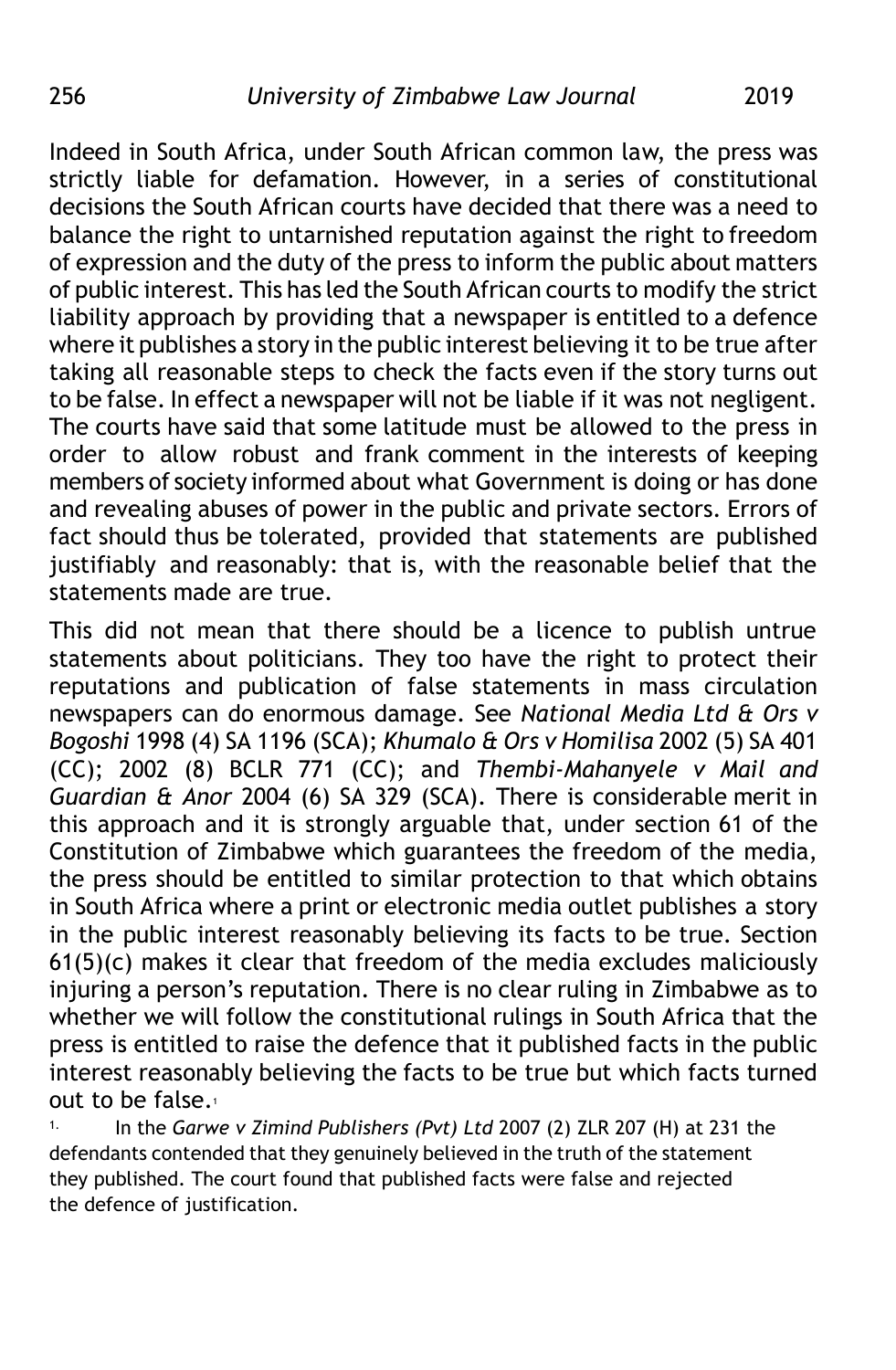Indeed in South Africa, under South African common law, the press was strictly liable for defamation. However, in a series of constitutional decisions the South African courts have decided that there was a need to balance the right to untarnished reputation against the right to freedom of expression and the duty of the press to inform the public about matters of public interest. This has led the South African courts to modify the strict liability approach by providing that a newspaper is entitled to a defence where it publishes a story in the public interest believing it to be true after taking all reasonable steps to check the facts even if the story turns out to be false. In effect a newspaper will not be liable if it was not negligent. The courts have said that some latitude must be allowed to the press in order to allow robust and frank comment in the interests of keeping members of society informed about what Government is doing or has done and revealing abuses of power in the public and private sectors. Errors of fact should thus be tolerated, provided that statements are published justifiably and reasonably: that is, with the reasonable belief that the statements made are true.

This did not mean that there should be a licence to publish untrue statements about politicians. They too have the right to protect their reputations and publication of false statements in mass circulation newspapers can do enormous damage. See *National Media Ltd & Ors v Bogoshi* 1998 (4) SA 1196 (SCA); *Khumalo & Ors v Homilisa* 2002 (5) SA 401 (CC); 2002 (8) BCLR 771 (CC); and *Thembi-Mahanyele v Mail and Guardian & Anor* 2004 (6) SA 329 (SCA). There is considerable merit in this approach and it is strongly arguable that, under section 61 of the Constitution of Zimbabwe which guarantees the freedom of the media, the press should be entitled to similar protection to that which obtains in South Africa where a print or electronic media outlet publishes a story in the public interest reasonably believing its facts to be true. Section  $61(5)(c)$  makes it clear that freedom of the media excludes maliciously injuring a person's reputation. There is no clear ruling in Zimbabwe as to whether we will follow the constitutional rulings in South Africa that the press is entitled to raise the defence that it published facts in the public interest reasonably believing the facts to be true but which facts turned out to be false.<sup>1</sup>

1. In the *Garwe v Zimind Publishers (Pvt) Ltd* 2007 (2) ZLR 207 (H) at 231 the defendants contended that they genuinely believed in the truth of the statement they published. The court found that published facts were false and rejected the defence of justification.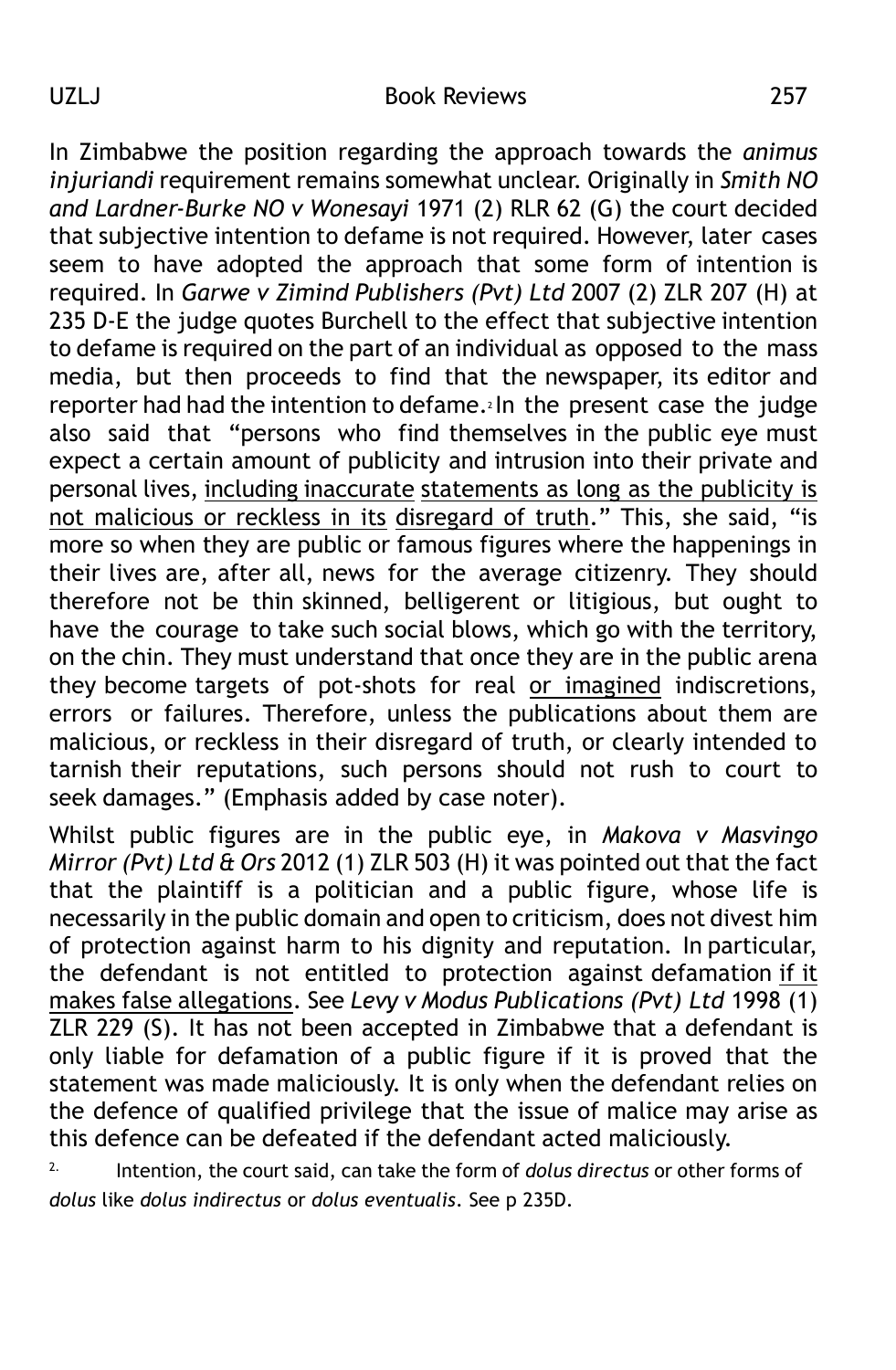In Zimbabwe the position regarding the approach towards the *animus injuriandi* requirement remains somewhat unclear. Originally in *Smith NO and Lardner-Burke NO v Wonesayi* 1971 (2) RLR 62 (G) the court decided that subjective intention to defame is not required. However, later cases seem to have adopted the approach that some form of intention is required. In *Garwe v Zimind Publishers (Pvt) Ltd* 2007 (2) ZLR 207 (H) at 235 D-E the judge quotes Burchell to the effect that subjective intention to defame is required on the part of an individual as opposed to the mass media, but then proceeds to find that the newspaper, its editor and reporter had had the intention to defame.<sup>2</sup> In the present case the judge also said that "persons who find themselves in the public eye must expect a certain amount of publicity and intrusion into their private and personal lives, including inaccurate statements as long as the publicity is not malicious or reckless in its disregard of truth." This, she said, "is more so when they are public or famous figures where the happenings in their lives are, after all, news for the average citizenry. They should therefore not be thin skinned, belligerent or litigious, but ought to have the courage to take such social blows, which go with the territory, on the chin. They must understand that once they are in the public arena they become targets of pot-shots for real or imagined indiscretions, errors or failures. Therefore, unless the publications about them are malicious, or reckless in their disregard of truth, or clearly intended to tarnish their reputations, such persons should not rush to court to seek damages." (Emphasis added by case noter).

Whilst public figures are in the public eye, in *Makova v Masvingo Mirror (Pvt) Ltd & Ors* 2012 (1) ZLR 503 (H) it was pointed out that the fact that the plaintiff is a politician and a public figure, whose life is necessarily in the public domain and open to criticism, does not divest him of protection against harm to his dignity and reputation. In particular, the defendant is not entitled to protection against defamation if it makes false allegations. See *Levy v Modus Publications (Pvt) Ltd* 1998 (1) ZLR 229 (S). It has not been accepted in Zimbabwe that a defendant is only liable for defamation of a public figure if it is proved that the statement was made maliciously. It is only when the defendant relies on the defence of qualified privilege that the issue of malice may arise as this defence can be defeated if the defendant acted maliciously.

2. Intention, the court said, can take the form of *dolus directus* or other forms of *dolus* like *dolus indirectus* or *dolus eventualis*. See p 235D.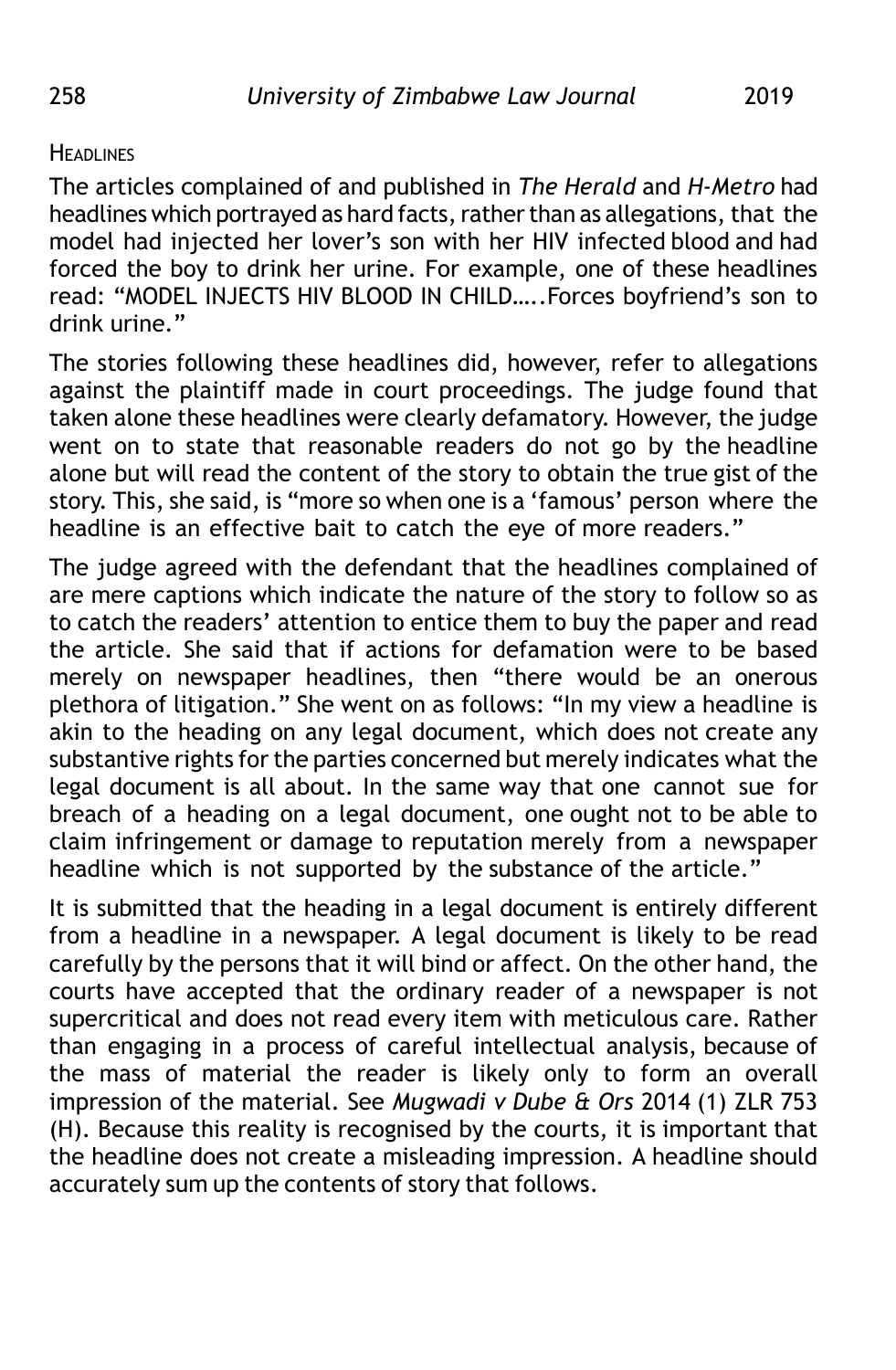### **HEADLINES**

The articles complained of and published in *The Herald* and *H-Metro* had headlines which portrayed as hard facts, rather than as allegations, that the model had injected her lover's son with her HIV infected blood and had forced the boy to drink her urine. For example, one of these headlines read: "MODEL INJECTS HIV BLOOD IN CHILD…..Forces boyfriend's son to drink urine."

The stories following these headlines did, however, refer to allegations against the plaintiff made in court proceedings. The judge found that taken alone these headlines were clearly defamatory. However, the judge went on to state that reasonable readers do not go by the headline alone but will read the content of the story to obtain the true gist of the story. This, she said, is "more so when one is a 'famous' person where the headline is an effective bait to catch the eye of more readers."

The judge agreed with the defendant that the headlines complained of are mere captions which indicate the nature of the story to follow so as to catch the readers' attention to entice them to buy the paper and read the article. She said that if actions for defamation were to be based merely on newspaper headlines, then "there would be an onerous plethora of litigation." She went on as follows: "In my view a headline is akin to the heading on any legal document, which does not create any substantive rights for the parties concerned but merely indicates what the legal document is all about. In the same way that one cannot sue for breach of a heading on a legal document, one ought not to be able to claim infringement or damage to reputation merely from a newspaper headline which is not supported by the substance of the article."

It is submitted that the heading in a legal document is entirely different from a headline in a newspaper. A legal document is likely to be read carefully by the persons that it will bind or affect. On the other hand, the courts have accepted that the ordinary reader of a newspaper is not supercritical and does not read every item with meticulous care. Rather than engaging in a process of careful intellectual analysis, because of the mass of material the reader is likely only to form an overall impression of the material. See *Mugwadi v Dube & Ors* 2014 (1) ZLR 753 (H). Because this reality is recognised by the courts, it is important that the headline does not create a misleading impression. A headline should accurately sum up the contents of story that follows.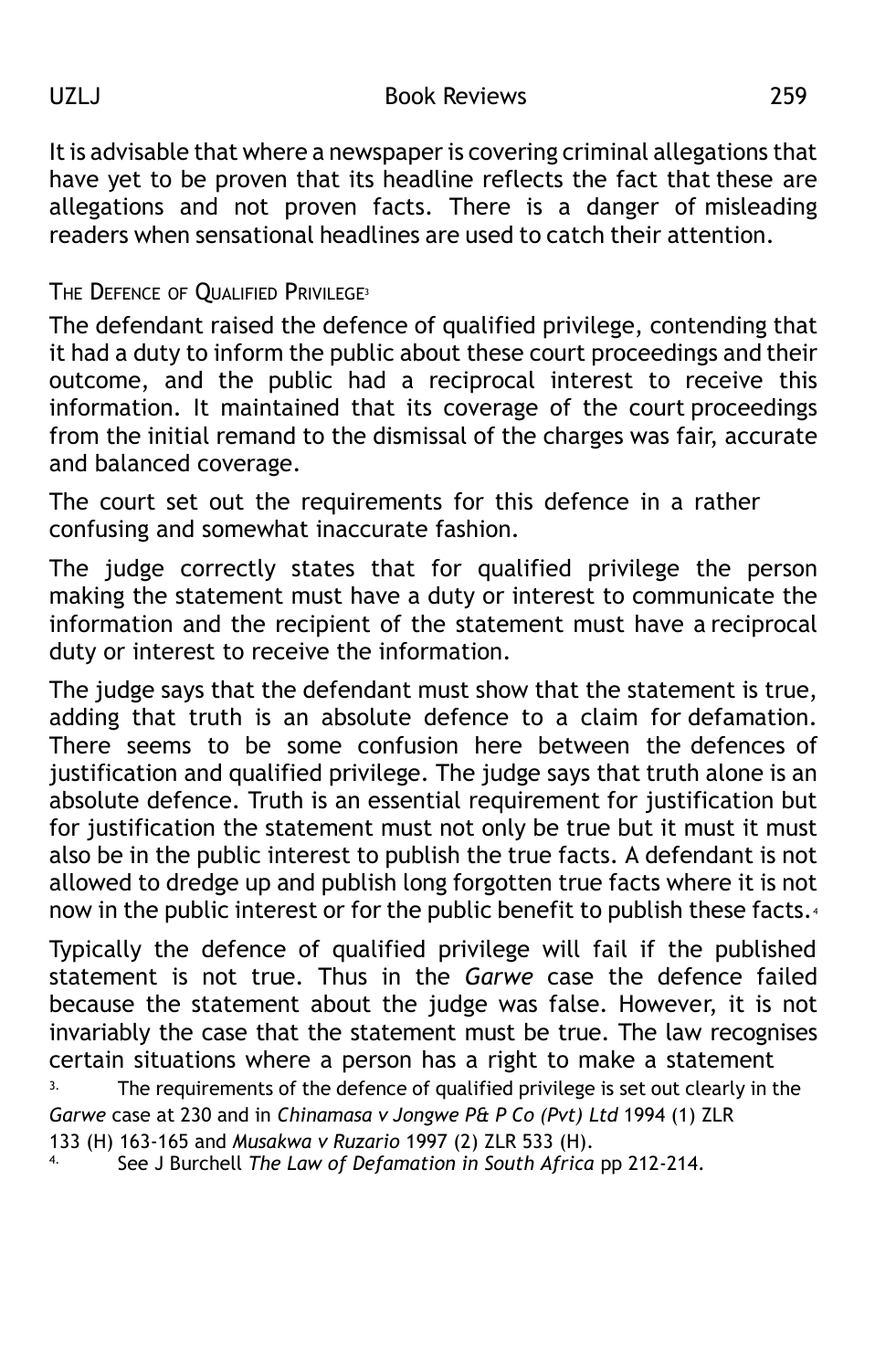It is advisable that where a newspaper is covering criminal allegations that have yet to be proven that its headline reflects the fact that these are allegations and not proven facts. There is a danger of misleading readers when sensational headlines are used to catch their attention.

THE DEFENCE OF QUALIFIED PRIVILEGE<sup>3</sup>

The defendant raised the defence of qualified privilege, contending that it had a duty to inform the public about these court proceedings and their outcome, and the public had a reciprocal interest to receive this information. It maintained that its coverage of the court proceedings from the initial remand to the dismissal of the charges was fair, accurate and balanced coverage.

The court set out the requirements for this defence in a rather confusing and somewhat inaccurate fashion.

The judge correctly states that for qualified privilege the person making the statement must have a duty or interest to communicate the information and the recipient of the statement must have a reciprocal duty or interest to receive the information.

The judge says that the defendant must show that the statement is true, adding that truth is an absolute defence to a claim for defamation. There seems to be some confusion here between the defences of justification and qualified privilege. The judge says that truth alone is an absolute defence. Truth is an essential requirement for justification but for justification the statement must not only be true but it must it must also be in the public interest to publish the true facts. A defendant is not allowed to dredge up and publish long forgotten true facts where it is not now in the public interest or for the public benefit to publish these facts.<sup>4</sup>

Typically the defence of qualified privilege will fail if the published statement is not true. Thus in the *Garwe* case the defence failed because the statement about the judge was false. However, it is not invariably the case that the statement must be true. The law recognises certain situations where a person has a right to make a statement <sup>3.</sup> The requirements of the defence of qualified privilege is set out clearly in the *Garwe* case at 230 and in *Chinamasa v Jongwe P& P Co (Pvt) Ltd* 1994 (1) ZLR

<sup>4.</sup> See J Burchell *The Law of Defamation in South Africa* pp 212-214.

<sup>133 (</sup>H) 163-165 and *Musakwa v Ruzario* 1997 (2) ZLR 533 (H).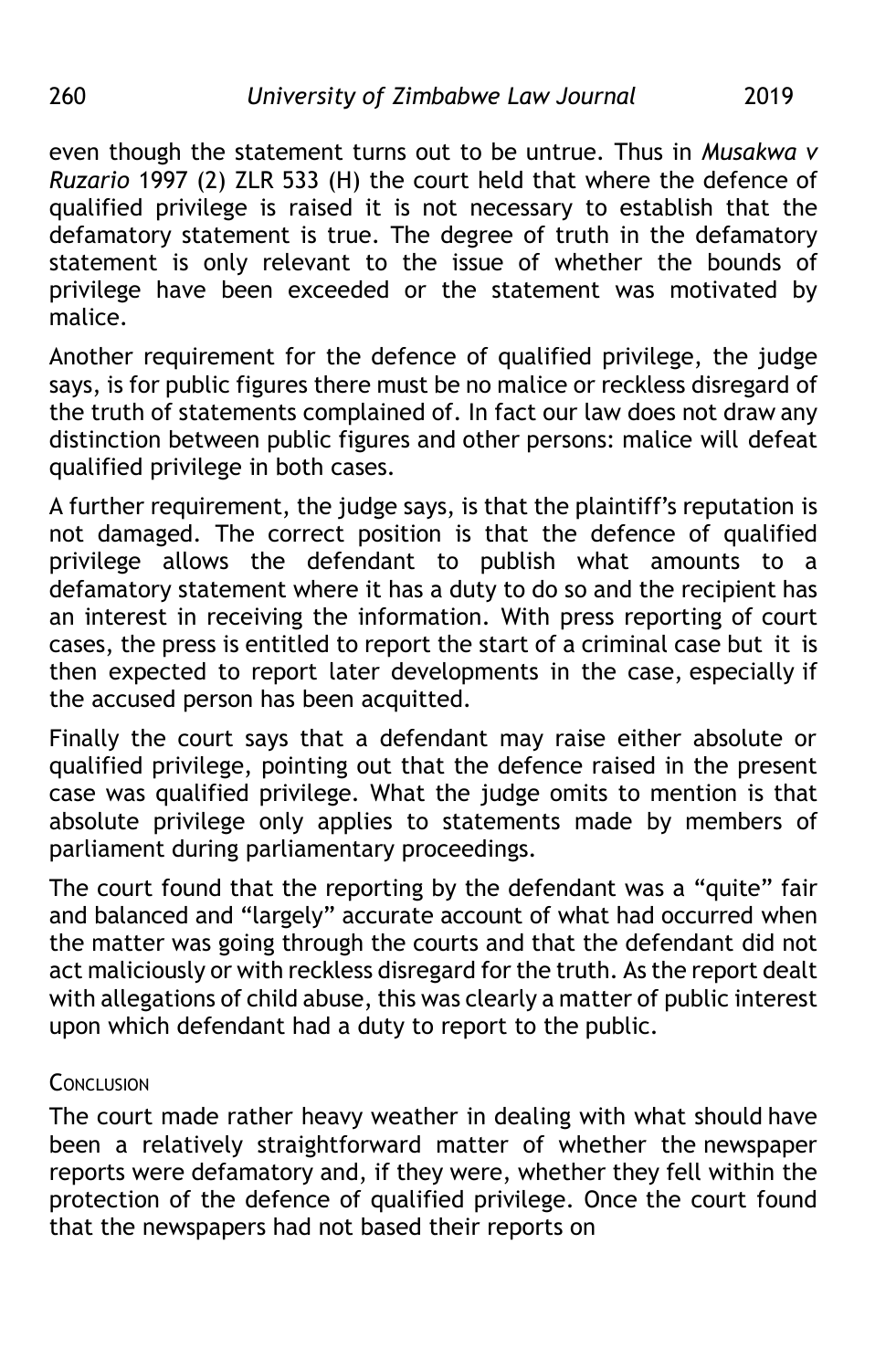even though the statement turns out to be untrue. Thus in *Musakwa v Ruzario* 1997 (2) ZLR 533 (H) the court held that where the defence of qualified privilege is raised it is not necessary to establish that the defamatory statement is true. The degree of truth in the defamatory statement is only relevant to the issue of whether the bounds of privilege have been exceeded or the statement was motivated by malice.

Another requirement for the defence of qualified privilege, the judge says, is for public figures there must be no malice or reckless disregard of the truth of statements complained of. In fact our law does not draw any distinction between public figures and other persons: malice will defeat qualified privilege in both cases.

A further requirement, the judge says, is that the plaintiff's reputation is not damaged. The correct position is that the defence of qualified privilege allows the defendant to publish what amounts to a defamatory statement where it has a duty to do so and the recipient has an interest in receiving the information. With press reporting of court cases, the press is entitled to report the start of a criminal case but it is then expected to report later developments in the case, especially if the accused person has been acquitted.

Finally the court says that a defendant may raise either absolute or qualified privilege, pointing out that the defence raised in the present case was qualified privilege. What the judge omits to mention is that absolute privilege only applies to statements made by members of parliament during parliamentary proceedings.

The court found that the reporting by the defendant was a "quite" fair and balanced and "largely" accurate account of what had occurred when the matter was going through the courts and that the defendant did not act maliciously or with reckless disregard for the truth. As the report dealt with allegations of child abuse, this was clearly a matter of public interest upon which defendant had a duty to report to the public.

# **CONCLUSION**

The court made rather heavy weather in dealing with what should have been a relatively straightforward matter of whether the newspaper reports were defamatory and, if they were, whether they fell within the protection of the defence of qualified privilege. Once the court found that the newspapers had not based their reports on